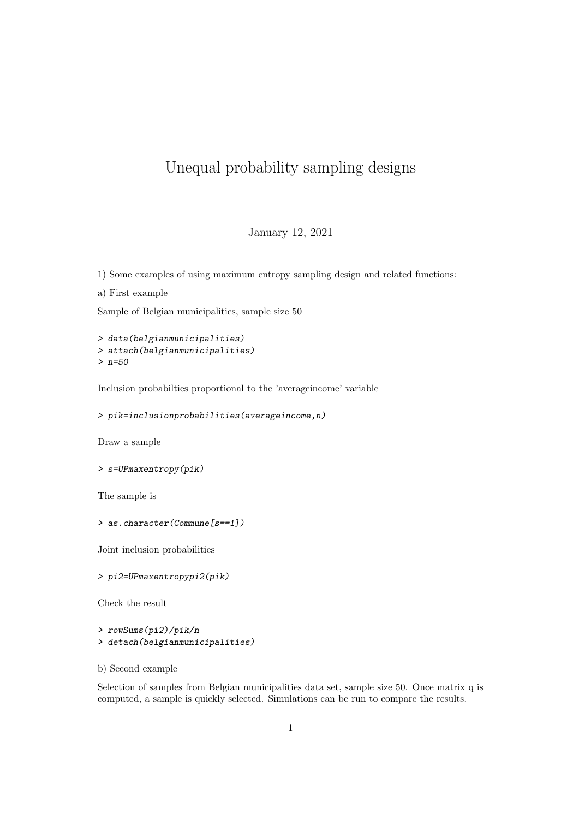## Unequal probability sampling designs

## January 12, 2021

1) Some examples of using maximum entropy sampling design and related functions:

a) First example

Sample of Belgian municipalities, sample size 50

> data(belgianmunicipalities) > attach(belgianmunicipalities) > n=50

Inclusion probabilties proportional to the 'averageincome' variable

> pik=inclusionprobabilities(averageincome,n)

Draw a sample

```
> s=UPmaxentropy(pik)
```
The sample is

> as.character(Commune[s==1])

Joint inclusion probabilities

> pi2=UPmaxentropypi2(pik)

Check the result

```
> rowSums(pi2)/pik/n
> detach(belgianmunicipalities)
```

```
b) Second example
```
Selection of samples from Belgian municipalities data set, sample size 50. Once matrix q is computed, a sample is quickly selected. Simulations can be run to compare the results.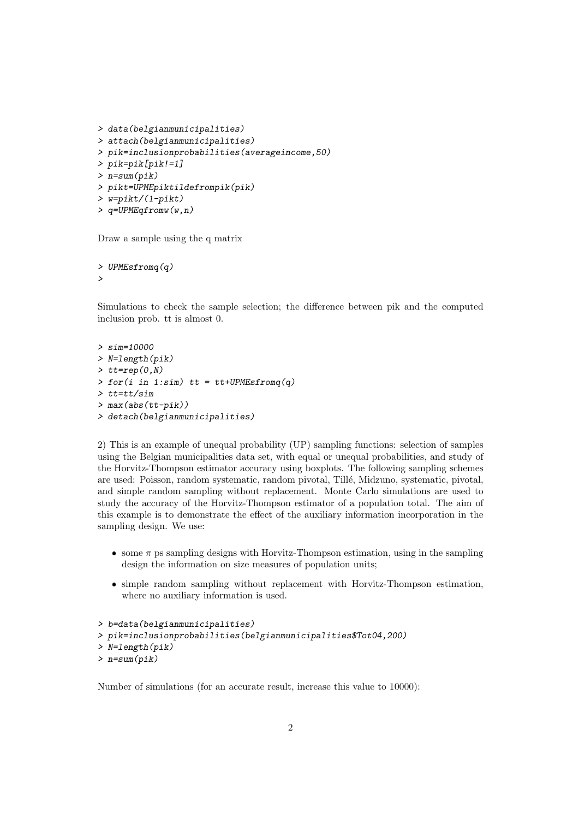```
> data(belgianmunicipalities)
> attach(belgianmunicipalities)
> pik=inclusionprobabilities(averageincome,50)
> pik=pik[pik!=1]
> n=sum(pik)
> pikt=UPMEpiktildefrompik(pik)
> w=pikt/(1-pikt)> q=UPMEqfromw(w,n)
```
Draw a sample using the q matrix

> UPMEsfromq(q) >

Simulations to check the sample selection; the difference between pik and the computed inclusion prob. tt is almost 0.

```
> sim=10000
> N=length(pik)
> tt=rep(0,N)
\gt for(i in 1:sim) tt = tt+UPMEsfromq(q)
> tt=tt/sim
> max(abs(tt-pik))
> detach(belgianmunicipalities)
```
2) This is an example of unequal probability (UP) sampling functions: selection of samples using the Belgian municipalities data set, with equal or unequal probabilities, and study of the Horvitz-Thompson estimator accuracy using boxplots. The following sampling schemes are used: Poisson, random systematic, random pivotal, Till´e, Midzuno, systematic, pivotal, and simple random sampling without replacement. Monte Carlo simulations are used to study the accuracy of the Horvitz-Thompson estimator of a population total. The aim of this example is to demonstrate the effect of the auxiliary information incorporation in the sampling design. We use:

- $\bullet$  some  $\pi$  ps sampling designs with Horvitz-Thompson estimation, using in the sampling design the information on size measures of population units;
- simple random sampling without replacement with Horvitz-Thompson estimation, where no auxiliary information is used.

```
> b=data(belgianmunicipalities)
> pik=inclusionprobabilities(belgianmunicipalities$Tot04,200)
> N=length(pik)
> n=sum(pik)
```
Number of simulations (for an accurate result, increase this value to 10000):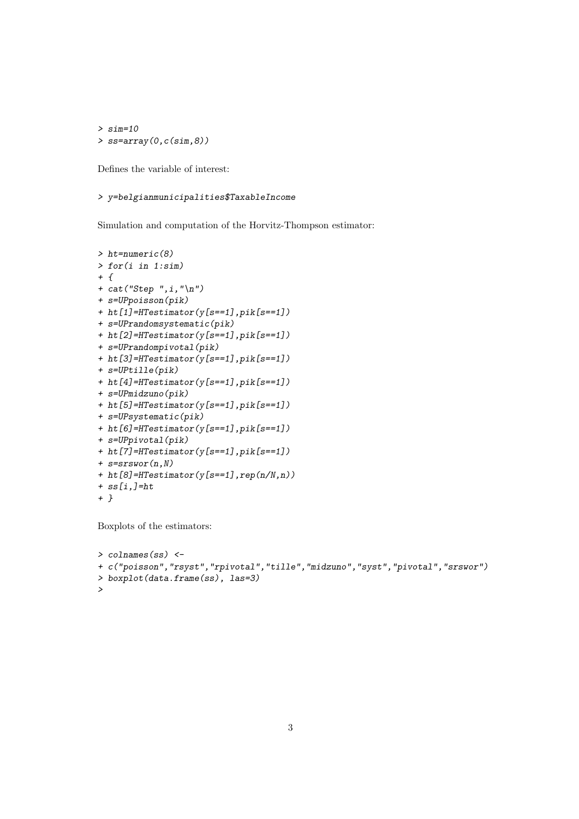> sim=10 > ss=array(0,c(sim,8))

Defines the variable of interest:

## > y=belgianmunicipalities\$TaxableIncome

Simulation and computation of the Horvitz-Thompson estimator:

```
> ht=numeric(8)
> for(i in 1:sim)
+ f+ cat("Step " , i, " \n'')+ s=UPpoisson(pik)
+ ht[1]=HTestimator(y[s==1],pik[s==1])
+ s=UPrandomsystematic(pik)
+ ht[2]=HTestimator(y[s==1],pik[s==1])
+ s=UPrandompivotal(pik)
+ ht[3]=HTestimator(y[s==1],pik[s==1])
+ s=UPtille(pik)
+ ht[4]=HTestimator(y[s==1],pik[s==1])
+ s=UPmidzuno(pik)
+ ht[5]=HTestimator(y[s==1],pik[s==1])
+ s=UPsystematic(pik)
+ ht[6]=HTestimator(y[s==1],pik[s==1])
+ s=UPpivotal(pik)
+ ht[7]=HTestimator(y[s==1],pik[s==1])
+ s=srswor(n,N)
+ ht[8]=HTestimator(y[s==1],rep(n/N,n))
+ ss[i,]=ht
+ }
```
Boxplots of the estimators:

```
> colnames(ss) <-
+ c("poisson","rsyst","rpivotal","tille","midzuno","syst","pivotal","srswor")
> boxplot(data.frame(ss), las=3)
>
```